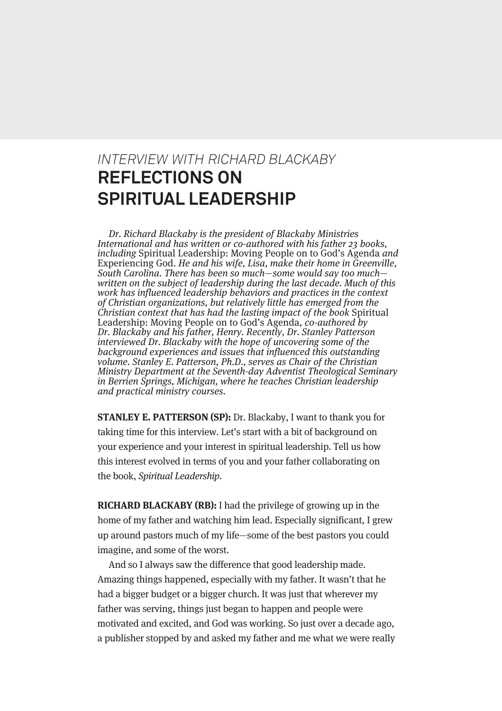#### *INTERVIEW WITH RICHARD BLACKABY* **REFLECTIONS ON SPIRITUAL LEADERSHIP**

Dr. Richard Blackaby is the president of Blackaby Ministries International and has written or co-authored with his father 23 books, including Spiritual Leadership: Moving People on to God's Agenda and Experiencing God. He and his wife, Lisa, make their home in Greenville, South Carolina. There has been so much—some would say too much written on the subject of leadership during the last decade. Much of this work has influenced leadership behaviors and practices in the context of Christian organizations, but relatively little has emerged from the Christian context that has had the lasting impact of the book Spiritual Leadership: Moving People on to God's Agenda, co-authored by Dr. Blackaby and his father, Henry. Recently, Dr. Stanley Patterson interviewed Dr. Blackaby with the hope of uncovering some of the background experiences and issues that influenced this outstanding volume. Stanley E. Patterson, Ph.D., serves as Chair of the Christian Ministry Department at the Seventh-day Adventist Theological Seminary in Berrien Springs, Michigan, where he teaches Christian leadership and practical ministry courses.

**STANLEY E. PATTERSON (SP):** Dr. Blackaby, I want to thank you for taking time for this interview. Let's start with a bit of background on your experience and your interest in spiritual leadership. Tell us how this interest evolved in terms of you and your father collaborating on the book, Spiritual Leadership.

**RICHARD BLACKABY (RB):** I had the privilege of growing up in the home of my father and watching him lead. Especially significant, I grew up around pastors much of my life—some of the best pastors you could imagine, and some of the worst.

And so I always saw the difference that good leadership made. Amazing things happened, especially with my father. It wasn't that he had a bigger budget or a bigger church. It was just that wherever my father was serving, things just began to happen and people were motivated and excited, and God was working. So just over a decade ago, a publisher stopped by and asked my father and me what we were really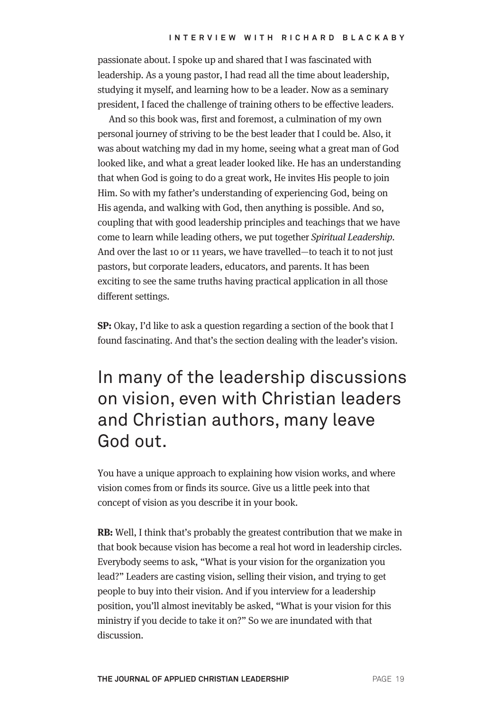passionate about. I spoke up and shared that I was fascinated with leadership. As a young pastor, I had read all the time about leadership, studying it myself, and learning how to be a leader. Now as a seminary president, I faced the challenge of training others to be effective leaders.

And so this book was, first and foremost, a culmination of my own personal journey of striving to be the best leader that I could be. Also, it was about watching my dad in my home, seeing what a great man of God looked like, and what a great leader looked like. He has an understanding that when God is going to do a great work, He invites His people to join Him. So with my father's understanding of experiencing God, being on His agenda, and walking with God, then anything is possible. And so, coupling that with good leadership principles and teachings that we have come to learn while leading others, we put together Spiritual Leadership. And over the last 10 or 11 years, we have travelled—to teach it to not just pastors, but corporate leaders, educators, and parents. It has been exciting to see the same truths having practical application in all those different settings.

**SP:** Okay, I'd like to ask a question regarding a section of the book that I found fascinating. And that's the section dealing with the leader's vision.

### In many of the leadership discussions on vision, even with Christian leaders and Christian authors, many leave God out.

You have a unique approach to explaining how vision works, and where vision comes from or finds its source. Give us a little peek into that concept of vision as you describe it in your book.

**RB:** Well, I think that's probably the greatest contribution that we make in that book because vision has become a real hot word in leadership circles. Everybody seems to ask, "What is your vision for the organization you lead?" Leaders are casting vision, selling their vision, and trying to get people to buy into their vision. And if you interview for a leadership position, you'll almost inevitably be asked, "What is your vision for this ministry if you decide to take it on?" So we are inundated with that discussion.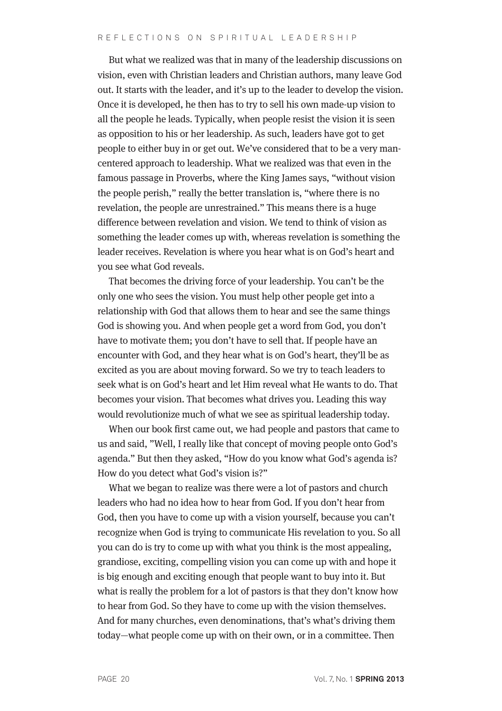But what we realized was that in many of the leadership discussions on vision, even with Christian leaders and Christian authors, many leave God out. It starts with the leader, and it's up to the leader to develop the vision. Once it is developed, he then has to try to sell his own made-up vision to all the people he leads. Typically, when people resist the vision it is seen as opposition to his or her leadership. As such, leaders have got to get people to either buy in or get out. We've considered that to be a very mancentered approach to leadership. What we realized was that even in the famous passage in Proverbs, where the King James says, "without vision the people perish," really the better translation is, "where there is no revelation, the people are unrestrained." This means there is a huge difference between revelation and vision. We tend to think of vision as something the leader comes up with, whereas revelation is something the leader receives. Revelation is where you hear what is on God's heart and you see what God reveals.

That becomes the driving force of your leadership. You can't be the only one who sees the vision. You must help other people get into a relationship with God that allows them to hear and see the same things God is showing you. And when people get a word from God, you don't have to motivate them; you don't have to sell that. If people have an encounter with God, and they hear what is on God's heart, they'll be as excited as you are about moving forward. So we try to teach leaders to seek what is on God's heart and let Him reveal what He wants to do. That becomes your vision. That becomes what drives you. Leading this way would revolutionize much of what we see as spiritual leadership today.

When our book first came out, we had people and pastors that came to us and said, "Well, I really like that concept of moving people onto God's agenda." But then they asked, "How do you know what God's agenda is? How do you detect what God's vision is?"

What we began to realize was there were a lot of pastors and church leaders who had no idea how to hear from God. If you don't hear from God, then you have to come up with a vision yourself, because you can't recognize when God is trying to communicate His revelation to you. So all you can do is try to come up with what you think is the most appealing, grandiose, exciting, compelling vision you can come up with and hope it is big enough and exciting enough that people want to buy into it. But what is really the problem for a lot of pastors is that they don't know how to hear from God. So they have to come up with the vision themselves. And for many churches, even denominations, that's what's driving them today—what people come up with on their own, or in a committee. Then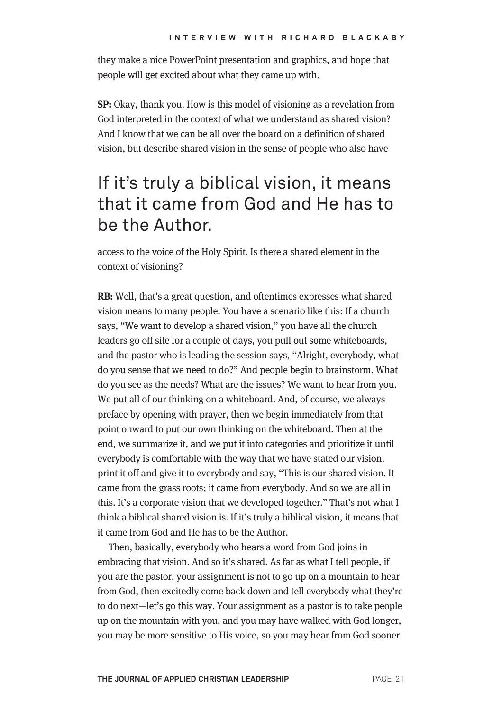they make a nice PowerPoint presentation and graphics, and hope that people will get excited about what they came up with.

**SP:** Okay, thank you. How is this model of visioning as a revelation from God interpreted in the context of what we understand as shared vision? And I know that we can be all over the board on a definition of shared vision, but describe shared vision in the sense of people who also have

### If it's truly a biblical vision, it means that it came from God and He has to be the Author.

access to the voice of the Holy Spirit. Is there a shared element in the context of visioning?

**RB:** Well, that's a great question, and oftentimes expresses what shared vision means to many people. You have a scenario like this: If a church says, "We want to develop a shared vision," you have all the church leaders go off site for a couple of days, you pull out some whiteboards, and the pastor who is leading the session says, "Alright, everybody, what do you sense that we need to do?" And people begin to brainstorm. What do you see as the needs? What are the issues? We want to hear from you. We put all of our thinking on a whiteboard. And, of course, we always preface by opening with prayer, then we begin immediately from that point onward to put our own thinking on the whiteboard. Then at the end, we summarize it, and we put it into categories and prioritize it until everybody is comfortable with the way that we have stated our vision, print it off and give it to everybody and say, "This is our shared vision. It came from the grass roots; it came from everybody. And so we are all in this. It's a corporate vision that we developed together." That's not what I think a biblical shared vision is. If it's truly a biblical vision, it means that it came from God and He has to be the Author.

Then, basically, everybody who hears a word from God joins in embracing that vision. And so it's shared. As far as what I tell people, if you are the pastor, your assignment is not to go up on a mountain to hear from God, then excitedly come back down and tell everybody what they're to do next—let's go this way. Your assignment as a pastor is to take people up on the mountain with you, and you may have walked with God longer, you may be more sensitive to His voice, so you may hear from God sooner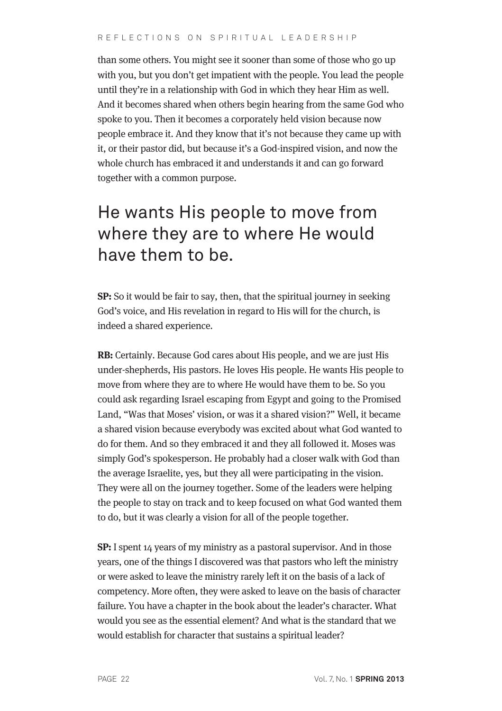than some others. You might see it sooner than some of those who go up with you, but you don't get impatient with the people. You lead the people until they're in a relationship with God in which they hear Him as well. And it becomes shared when others begin hearing from the same God who spoke to you. Then it becomes a corporately held vision because now people embrace it. And they know that it's not because they came up with it, or their pastor did, but because it's a God-inspired vision, and now the whole church has embraced it and understands it and can go forward together with a common purpose.

## He wants His people to move from where they are to where He would have them to be.

**SP:** So it would be fair to say, then, that the spiritual journey in seeking God's voice, and His revelation in regard to His will for the church, is indeed a shared experience.

**RB:** Certainly. Because God cares about His people, and we are just His under-shepherds, His pastors. He loves His people. He wants His people to move from where they are to where He would have them to be. So you could ask regarding Israel escaping from Egypt and going to the Promised Land, "Was that Moses' vision, or was it a shared vision?" Well, it became a shared vision because everybody was excited about what God wanted to do for them. And so they embraced it and they all followed it. Moses was simply God's spokesperson. He probably had a closer walk with God than the average Israelite, yes, but they all were participating in the vision. They were all on the journey together. Some of the leaders were helping the people to stay on track and to keep focused on what God wanted them to do, but it was clearly a vision for all of the people together.

**SP:** I spent 14 years of my ministry as a pastoral supervisor. And in those years, one of the things I discovered was that pastors who left the ministry or were asked to leave the ministry rarely left it on the basis of a lack of competency. More often, they were asked to leave on the basis of character failure. You have a chapter in the book about the leader's character. What would you see as the essential element? And what is the standard that we would establish for character that sustains a spiritual leader?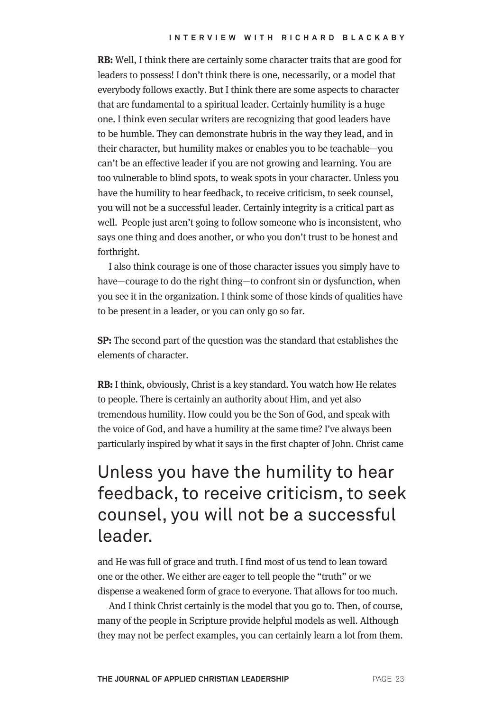**RB:** Well, I think there are certainly some character traits that are good for leaders to possess! I don't think there is one, necessarily, or a model that everybody follows exactly. But I think there are some aspects to character that are fundamental to a spiritual leader. Certainly humility is a huge one. I think even secular writers are recognizing that good leaders have to be humble. They can demonstrate hubris in the way they lead, and in their character, but humility makes or enables you to be teachable—you can't be an effective leader if you are not growing and learning. You are too vulnerable to blind spots, to weak spots in your character. Unless you have the humility to hear feedback, to receive criticism, to seek counsel, you will not be a successful leader. Certainly integrity is a critical part as well. People just aren't going to follow someone who is inconsistent, who says one thing and does another, or who you don't trust to be honest and forthright.

I also think courage is one of those character issues you simply have to have—courage to do the right thing—to confront sin or dysfunction, when you see it in the organization. I think some of those kinds of qualities have to be present in a leader, or you can only go so far.

**SP:** The second part of the question was the standard that establishes the elements of character.

**RB:** I think, obviously, Christ is a key standard. You watch how He relates to people. There is certainly an authority about Him, and yet also tremendous humility. How could you be the Son of God, and speak with the voice of God, and have a humility at the same time? I've always been particularly inspired by what it says in the first chapter of John. Christ came

## Unless you have the humility to hear feedback, to receive criticism, to seek counsel, you will not be a successful leader.

and He was full of grace and truth. I find most of us tend to lean toward one or the other. We either are eager to tell people the "truth" or we dispense a weakened form of grace to everyone. That allows for too much.

And I think Christ certainly is the model that you go to. Then, of course, many of the people in Scripture provide helpful models as well. Although they may not be perfect examples, you can certainly learn a lot from them.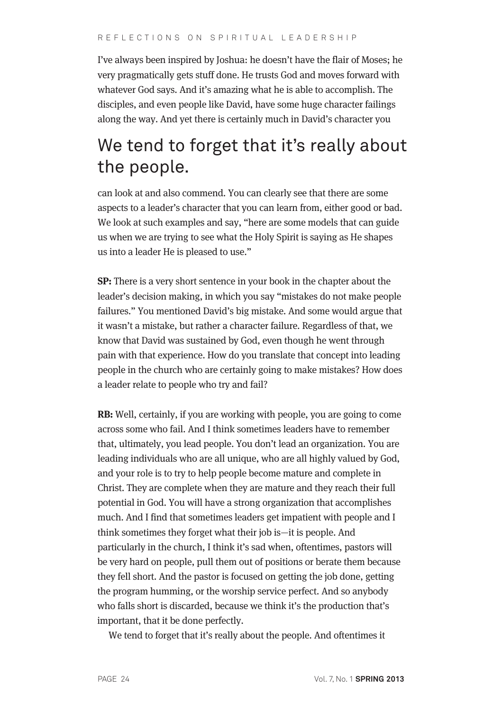I've always been inspired by Joshua: he doesn't have the flair of Moses; he very pragmatically gets stuff done. He trusts God and moves forward with whatever God says. And it's amazing what he is able to accomplish. The disciples, and even people like David, have some huge character failings along the way. And yet there is certainly much in David's character you

### We tend to forget that it's really about the people.

can look at and also commend. You can clearly see that there are some aspects to a leader's character that you can learn from, either good or bad. We look at such examples and say, "here are some models that can guide us when we are trying to see what the Holy Spirit is saying as He shapes us into a leader He is pleased to use."

**SP:** There is a very short sentence in your book in the chapter about the leader's decision making, in which you say "mistakes do not make people failures." You mentioned David's big mistake. And some would argue that it wasn't a mistake, but rather a character failure. Regardless of that, we know that David was sustained by God, even though he went through pain with that experience. How do you translate that concept into leading people in the church who are certainly going to make mistakes? How does a leader relate to people who try and fail?

**RB:** Well, certainly, if you are working with people, you are going to come across some who fail. And I think sometimes leaders have to remember that, ultimately, you lead people. You don't lead an organization. You are leading individuals who are all unique, who are all highly valued by God, and your role is to try to help people become mature and complete in Christ. They are complete when they are mature and they reach their full potential in God. You will have a strong organization that accomplishes much. And I find that sometimes leaders get impatient with people and I think sometimes they forget what their job is—it is people. And particularly in the church, I think it's sad when, oftentimes, pastors will be very hard on people, pull them out of positions or berate them because they fell short. And the pastor is focused on getting the job done, getting the program humming, or the worship service perfect. And so anybody who falls short is discarded, because we think it's the production that's important, that it be done perfectly.

We tend to forget that it's really about the people. And oftentimes it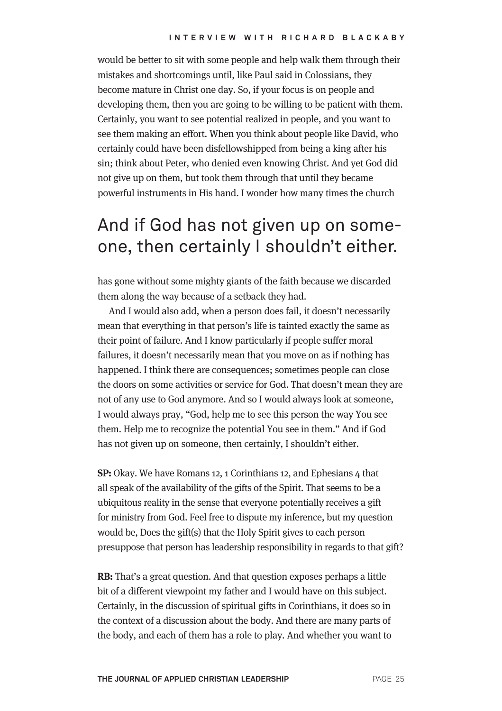would be better to sit with some people and help walk them through their mistakes and shortcomings until, like Paul said in Colossians, they become mature in Christ one day. So, if your focus is on people and developing them, then you are going to be willing to be patient with them. Certainly, you want to see potential realized in people, and you want to see them making an effort. When you think about people like David, who certainly could have been disfellowshipped from being a king after his sin; think about Peter, who denied even knowing Christ. And yet God did not give up on them, but took them through that until they became powerful instruments in His hand. I wonder how many times the church

#### And if God has not given up on someone, then certainly I shouldn't either.

has gone without some mighty giants of the faith because we discarded them along the way because of a setback they had.

And I would also add, when a person does fail, it doesn't necessarily mean that everything in that person's life is tainted exactly the same as their point of failure. And I know particularly if people suffer moral failures, it doesn't necessarily mean that you move on as if nothing has happened. I think there are consequences; sometimes people can close the doors on some activities or service for God. That doesn't mean they are not of any use to God anymore. And so I would always look at someone, I would always pray, "God, help me to see this person the way You see them. Help me to recognize the potential You see in them." And if God has not given up on someone, then certainly, I shouldn't either.

**SP:** Okay. We have Romans 12, 1 Corinthians 12, and Ephesians 4 that all speak of the availability of the gifts of the Spirit. That seems to be a ubiquitous reality in the sense that everyone potentially receives a gift for ministry from God. Feel free to dispute my inference, but my question would be, Does the gift(s) that the Holy Spirit gives to each person presuppose that person has leadership responsibility in regards to that gift?

**RB:** That's a great question. And that question exposes perhaps a little bit of a different viewpoint my father and I would have on this subject. Certainly, in the discussion of spiritual gifts in Corinthians, it does so in the context of a discussion about the body. And there are many parts of the body, and each of them has a role to play. And whether you want to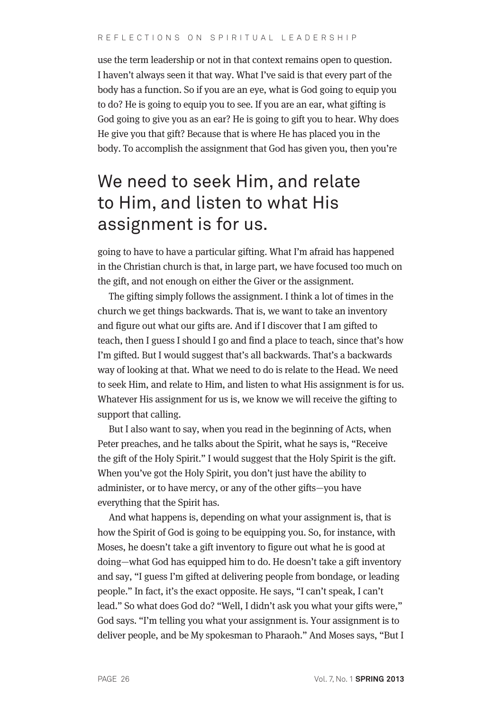use the term leadership or not in that context remains open to question. I haven't always seen it that way. What I've said is that every part of the body has a function. So if you are an eye, what is God going to equip you to do? He is going to equip you to see. If you are an ear, what gifting is God going to give you as an ear? He is going to gift you to hear. Why does He give you that gift? Because that is where He has placed you in the body. To accomplish the assignment that God has given you, then you're

### We need to seek Him, and relate to Him, and listen to what His assignment is for us.

going to have to have a particular gifting. What I'm afraid has happened in the Christian church is that, in large part, we have focused too much on the gift, and not enough on either the Giver or the assignment.

The gifting simply follows the assignment. I think a lot of times in the church we get things backwards. That is, we want to take an inventory and figure out what our gifts are. And if I discover that I am gifted to teach, then I guess I should I go and find a place to teach, since that's how I'm gifted. But I would suggest that's all backwards. That's a backwards way of looking at that. What we need to do is relate to the Head. We need to seek Him, and relate to Him, and listen to what His assignment is for us. Whatever His assignment for us is, we know we will receive the gifting to support that calling.

But I also want to say, when you read in the beginning of Acts, when Peter preaches, and he talks about the Spirit, what he says is, "Receive the gift of the Holy Spirit." I would suggest that the Holy Spirit is the gift. When you've got the Holy Spirit, you don't just have the ability to administer, or to have mercy, or any of the other gifts—you have everything that the Spirit has.

And what happens is, depending on what your assignment is, that is how the Spirit of God is going to be equipping you. So, for instance, with Moses, he doesn't take a gift inventory to figure out what he is good at doing—what God has equipped him to do. He doesn't take a gift inventory and say, "I guess I'm gifted at delivering people from bondage, or leading people." In fact, it's the exact opposite. He says, "I can't speak, I can't lead." So what does God do? "Well, I didn't ask you what your gifts were," God says. "I'm telling you what your assignment is. Your assignment is to deliver people, and be My spokesman to Pharaoh." And Moses says, "But I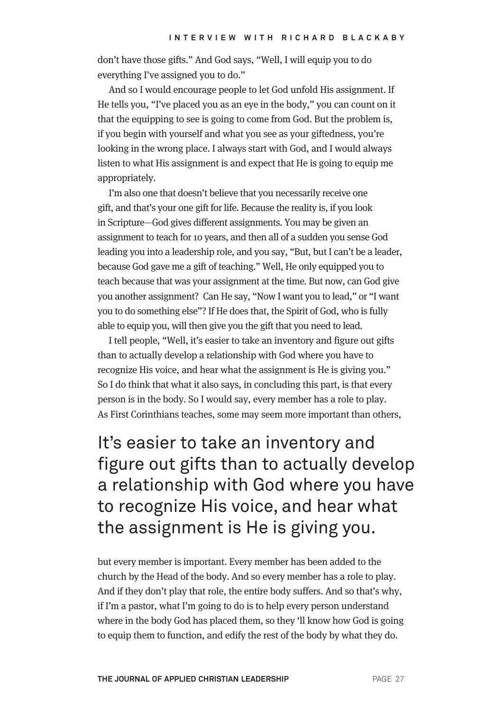don't have those gifts." And God says, "Well, I will equip you to do everything I've assigned you to do."

And so I would encourage people to let God unfold His assignment. If He tells you, "I've placed you as an eye in the body," you can count on it that the equipping to see is going to come from God. But the problem is, if you begin with yourself and what you see as your giftedness, you're looking in the wrong place. I always start with God, and I would always listen to what His assignment is and expect that He is going to equip me appropriately.

I'm also one that doesn't believe that you necessarily receive one gift, and that's your one gift for life. Because the reality is, if you look in Scripture—God gives different assignments. You may be given an assignment to teach for 10 years, and then all of a sudden you sense God leading you into a leadership role, and you say, "But, but I can't be a leader, because God gave me a gift of teaching." Well, He only equipped you to teach because that was your assignment at the time. But now, can God give you another assignment? Can He say, "Now I want you to lead," or "I want you to do something else"? If He does that, the Spirit of God, who is fully able to equip you, will then give you the gift that you need to lead.

I tell people, "Well, it's easier to take an inventory and figure out gifts than to actually develop a relationship with God where you have to recognize His voice, and hear what the assignment is He is giving you." So I do think that what it also says, in concluding this part, is that every person is in the body. So I would say, every member has a role to play. As First Corinthians teaches, some may seem more important than others,

It's easier to take an inventory and figure out gifts than to actually develop a relationship with God where you have to recognize His voice, and hear what the assignment is He is giving you.

but every member is important. Every member has been added to the church by the Head of the body. And so every member has a role to play. And if they don't play that role, the entire body suffers. And so that's why, if I'm a pastor, what I'm going to do is to help every person understand where in the body God has placed them, so they 'll know how God is going to equip them to function, and edify the rest of the body by what they do.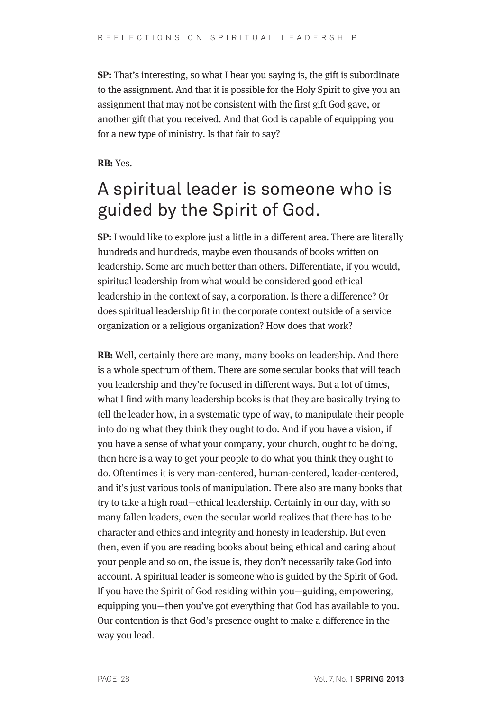**SP:** That's interesting, so what I hear you saying is, the gift is subordinate to the assignment. And that it is possible for the Holy Spirit to give you an assignment that may not be consistent with the first gift God gave, or another gift that you received. And that God is capable of equipping you for a new type of ministry. Is that fair to say?

**RB:** Yes.

# A spiritual leader is someone who is guided by the Spirit of God.

**SP:** I would like to explore just a little in a different area. There are literally hundreds and hundreds, maybe even thousands of books written on leadership. Some are much better than others. Differentiate, if you would, spiritual leadership from what would be considered good ethical leadership in the context of say, a corporation. Is there a difference? Or does spiritual leadership fit in the corporate context outside of a service organization or a religious organization? How does that work?

**RB:** Well, certainly there are many, many books on leadership. And there is a whole spectrum of them. There are some secular books that will teach you leadership and they're focused in different ways. But a lot of times, what I find with many leadership books is that they are basically trying to tell the leader how, in a systematic type of way, to manipulate their people into doing what they think they ought to do. And if you have a vision, if you have a sense of what your company, your church, ought to be doing, then here is a way to get your people to do what you think they ought to do. Oftentimes it is very man-centered, human-centered, leader-centered, and it's just various tools of manipulation. There also are many books that try to take a high road—ethical leadership. Certainly in our day, with so many fallen leaders, even the secular world realizes that there has to be character and ethics and integrity and honesty in leadership. But even then, even if you are reading books about being ethical and caring about your people and so on, the issue is, they don't necessarily take God into account. A spiritual leader is someone who is guided by the Spirit of God. If you have the Spirit of God residing within you—guiding, empowering, equipping you—then you've got everything that God has available to you. Our contention is that God's presence ought to make a difference in the way you lead.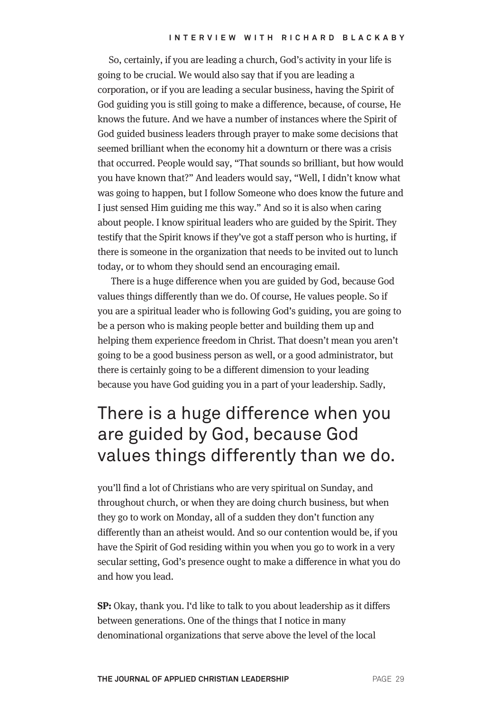So, certainly, if you are leading a church, God's activity in your life is going to be crucial. We would also say that if you are leading a corporation, or if you are leading a secular business, having the Spirit of God guiding you is still going to make a difference, because, of course, He knows the future. And we have a number of instances where the Spirit of God guided business leaders through prayer to make some decisions that seemed brilliant when the economy hit a downturn or there was a crisis that occurred. People would say, "That sounds so brilliant, but how would you have known that?" And leaders would say, "Well, I didn't know what was going to happen, but I follow Someone who does know the future and I just sensed Him guiding me this way." And so it is also when caring about people. I know spiritual leaders who are guided by the Spirit. They testify that the Spirit knows if they've got a staff person who is hurting, if there is someone in the organization that needs to be invited out to lunch today, or to whom they should send an encouraging email.

There is a huge difference when you are guided by God, because God values things differently than we do. Of course, He values people. So if you are a spiritual leader who is following God's guiding, you are going to be a person who is making people better and building them up and helping them experience freedom in Christ. That doesn't mean you aren't going to be a good business person as well, or a good administrator, but there is certainly going to be a different dimension to your leading because you have God guiding you in a part of your leadership. Sadly,

## There is a huge difference when you are guided by God, because God values things differently than we do.

you'll find a lot of Christians who are very spiritual on Sunday, and throughout church, or when they are doing church business, but when they go to work on Monday, all of a sudden they don't function any differently than an atheist would. And so our contention would be, if you have the Spirit of God residing within you when you go to work in a very secular setting, God's presence ought to make a difference in what you do and how you lead.

**SP:** Okay, thank you. I'd like to talk to you about leadership as it differs between generations. One of the things that I notice in many denominational organizations that serve above the level of the local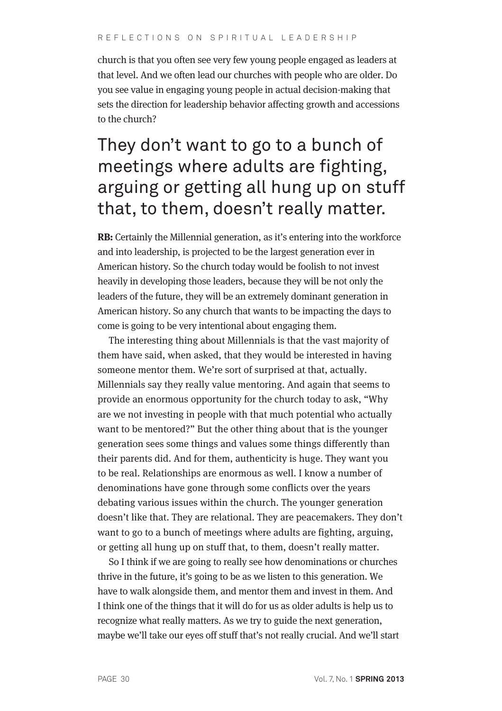church is that you often see very few young people engaged as leaders at that level. And we often lead our churches with people who are older. Do you see value in engaging young people in actual decision-making that sets the direction for leadership behavior affecting growth and accessions to the church?

## They don't want to go to a bunch of meetings where adults are fighting, arguing or getting all hung up on stuff that, to them, doesn't really matter.

**RB:** Certainly the Millennial generation, as it's entering into the workforce and into leadership, is projected to be the largest generation ever in American history. So the church today would be foolish to not invest heavily in developing those leaders, because they will be not only the leaders of the future, they will be an extremely dominant generation in American history. So any church that wants to be impacting the days to come is going to be very intentional about engaging them.

The interesting thing about Millennials is that the vast majority of them have said, when asked, that they would be interested in having someone mentor them. We're sort of surprised at that, actually. Millennials say they really value mentoring. And again that seems to provide an enormous opportunity for the church today to ask, "Why are we not investing in people with that much potential who actually want to be mentored?" But the other thing about that is the younger generation sees some things and values some things differently than their parents did. And for them, authenticity is huge. They want you to be real. Relationships are enormous as well. I know a number of denominations have gone through some conflicts over the years debating various issues within the church. The younger generation doesn't like that. They are relational. They are peacemakers. They don't want to go to a bunch of meetings where adults are fighting, arguing, or getting all hung up on stuff that, to them, doesn't really matter.

So I think if we are going to really see how denominations or churches thrive in the future, it's going to be as we listen to this generation. We have to walk alongside them, and mentor them and invest in them. And I think one of the things that it will do for us as older adults is help us to recognize what really matters. As we try to guide the next generation, maybe we'll take our eyes off stuff that's not really crucial. And we'll start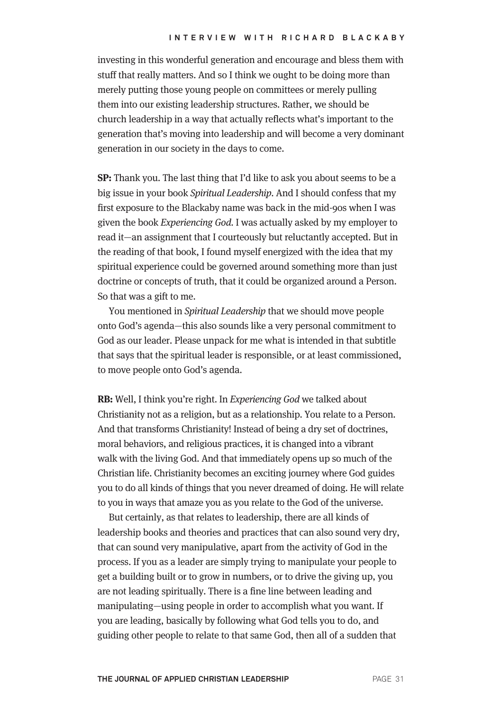investing in this wonderful generation and encourage and bless them with stuff that really matters. And so I think we ought to be doing more than merely putting those young people on committees or merely pulling them into our existing leadership structures. Rather, we should be church leadership in a way that actually reflects what's important to the generation that's moving into leadership and will become a very dominant generation in our society in the days to come.

**SP:** Thank you. The last thing that I'd like to ask you about seems to be a big issue in your book Spiritual Leadership. And I should confess that my first exposure to the Blackaby name was back in the mid-90s when I was given the book Experiencing God. I was actually asked by my employer to read it—an assignment that I courteously but reluctantly accepted. But in the reading of that book, I found myself energized with the idea that my spiritual experience could be governed around something more than just doctrine or concepts of truth, that it could be organized around a Person. So that was a gift to me.

You mentioned in Spiritual Leadership that we should move people onto God's agenda—this also sounds like a very personal commitment to God as our leader. Please unpack for me what is intended in that subtitle that says that the spiritual leader is responsible, or at least commissioned, to move people onto God's agenda.

**RB:** Well, I think you're right. In Experiencing God we talked about Christianity not as a religion, but as a relationship. You relate to a Person. And that transforms Christianity! Instead of being a dry set of doctrines, moral behaviors, and religious practices, it is changed into a vibrant walk with the living God. And that immediately opens up so much of the Christian life. Christianity becomes an exciting journey where God guides you to do all kinds of things that you never dreamed of doing. He will relate to you in ways that amaze you as you relate to the God of the universe.

But certainly, as that relates to leadership, there are all kinds of leadership books and theories and practices that can also sound very dry, that can sound very manipulative, apart from the activity of God in the process. If you as a leader are simply trying to manipulate your people to get a building built or to grow in numbers, or to drive the giving up, you are not leading spiritually. There is a fine line between leading and manipulating—using people in order to accomplish what you want. If you are leading, basically by following what God tells you to do, and guiding other people to relate to that same God, then all of a sudden that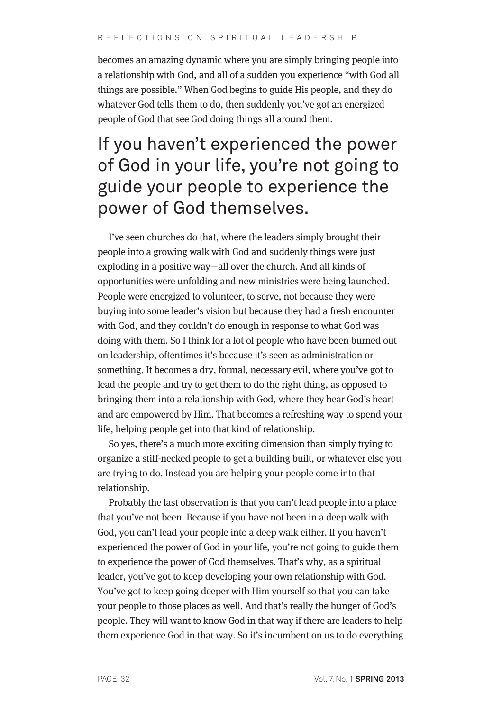becomes an amazing dynamic where you are simply bringing people into a relationship with God, and all of a sudden you experience "with God all things are possible." When God begins to guide His people, and they do whatever God tells them to do, then suddenly you've got an energized people of God that see God doing things all around them.

## If you haven't experienced the power of God in your life, you're not going to guide your people to experience the power of God themselves.

I've seen churches do that, where the leaders simply brought their people into a growing walk with God and suddenly things were just exploding in a positive way—all over the church. And all kinds of opportunities were unfolding and new ministries were being launched. People were energized to volunteer, to serve, not because they were buying into some leader's vision but because they had a fresh encounter with God, and they couldn't do enough in response to what God was doing with them. So I think for a lot of people who have been burned out on leadership, oftentimes it's because it's seen as administration or something. It becomes a dry, formal, necessary evil, where you've got to lead the people and try to get them to do the right thing, as opposed to bringing them into a relationship with God, where they hear God's heart and are empowered by Him. That becomes a refreshing way to spend your life, helping people get into that kind of relationship.

So yes, there's a much more exciting dimension than simply trying to organize a stiff-necked people to get a building built, or whatever else you are trying to do. Instead you are helping your people come into that relationship.

Probably the last observation is that you can't lead people into a place that you've not been. Because if you have not been in a deep walk with God, you can't lead your people into a deep walk either. If you haven't experienced the power of God in your life, you're not going to guide them to experience the power of God themselves. That's why, as a spiritual leader, you've got to keep developing your own relationship with God. You've got to keep going deeper with Him yourself so that you can take your people to those places as well. And that's really the hunger of God's people. They will want to know God in that way if there are leaders to help them experience God in that way. So it's incumbent on us to do everything